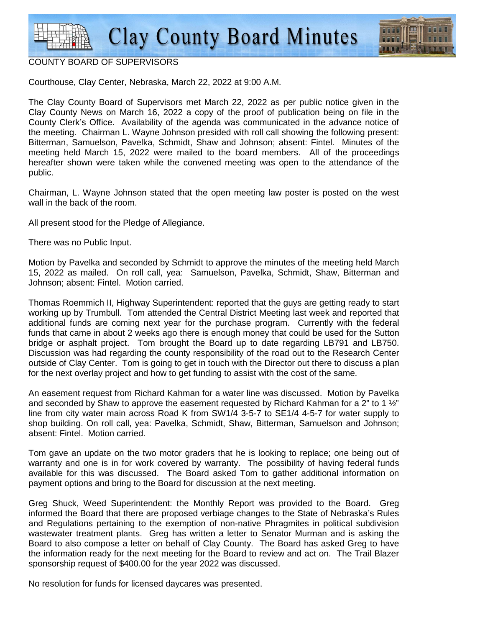

#### COUNTY BOARD OF SUPERVISORS

Courthouse, Clay Center, Nebraska, March 22, 2022 at 9:00 A.M.

The Clay County Board of Supervisors met March 22, 2022 as per public notice given in the Clay County News on March 16, 2022 a copy of the proof of publication being on file in the County Clerk's Office. Availability of the agenda was communicated in the advance notice of the meeting. Chairman L. Wayne Johnson presided with roll call showing the following present: Bitterman, Samuelson, Pavelka, Schmidt, Shaw and Johnson; absent: Fintel. Minutes of the meeting held March 15, 2022 were mailed to the board members. All of the proceedings hereafter shown were taken while the convened meeting was open to the attendance of the public.

Chairman, L. Wayne Johnson stated that the open meeting law poster is posted on the west wall in the back of the room.

All present stood for the Pledge of Allegiance.

There was no Public Input.

Motion by Pavelka and seconded by Schmidt to approve the minutes of the meeting held March 15, 2022 as mailed. On roll call, yea: Samuelson, Pavelka, Schmidt, Shaw, Bitterman and Johnson; absent: Fintel. Motion carried.

Thomas Roemmich II, Highway Superintendent: reported that the guys are getting ready to start working up by Trumbull. Tom attended the Central District Meeting last week and reported that additional funds are coming next year for the purchase program. Currently with the federal funds that came in about 2 weeks ago there is enough money that could be used for the Sutton bridge or asphalt project. Tom brought the Board up to date regarding LB791 and LB750. Discussion was had regarding the county responsibility of the road out to the Research Center outside of Clay Center. Tom is going to get in touch with the Director out there to discuss a plan for the next overlay project and how to get funding to assist with the cost of the same.

An easement request from Richard Kahman for a water line was discussed. Motion by Pavelka and seconded by Shaw to approve the easement requested by Richard Kahman for a 2" to 1 $\frac{1}{2}$ " line from city water main across Road K from SW1/4 3-5-7 to SE1/4 4-5-7 for water supply to shop building. On roll call, yea: Pavelka, Schmidt, Shaw, Bitterman, Samuelson and Johnson; absent: Fintel. Motion carried.

Tom gave an update on the two motor graders that he is looking to replace; one being out of warranty and one is in for work covered by warranty. The possibility of having federal funds available for this was discussed. The Board asked Tom to gather additional information on payment options and bring to the Board for discussion at the next meeting.

Greg Shuck, Weed Superintendent: the Monthly Report was provided to the Board. Greg informed the Board that there are proposed verbiage changes to the State of Nebraska's Rules and Regulations pertaining to the exemption of non-native Phragmites in political subdivision wastewater treatment plants. Greg has written a letter to Senator Murman and is asking the Board to also compose a letter on behalf of Clay County. The Board has asked Greg to have the information ready for the next meeting for the Board to review and act on. The Trail Blazer sponsorship request of \$400.00 for the year 2022 was discussed.

No resolution for funds for licensed daycares was presented.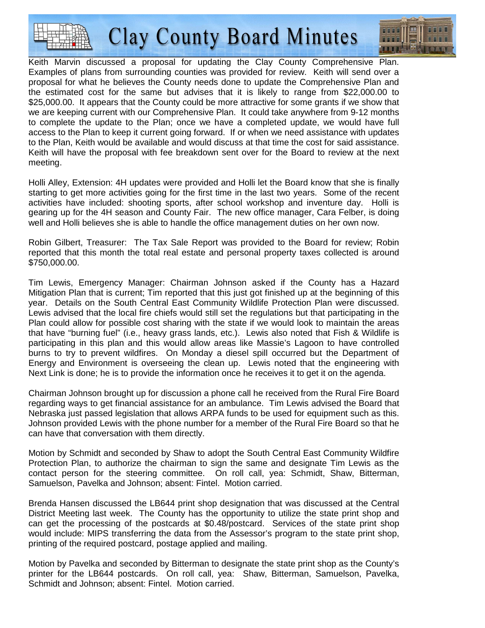

Keith Marvin discussed a proposal for updating the Clay County Comprehensive Plan. Examples of plans from surrounding counties was provided for review. Keith will send over a proposal for what he believes the County needs done to update the Comprehensive Plan and the estimated cost for the same but advises that it is likely to range from \$22,000.00 to \$25,000,00. It appears that the County could be more attractive for some grants if we show that we are keeping current with our Comprehensive Plan. It could take anywhere from 9-12 months to complete the update to the Plan; once we have a completed update, we would have full access to the Plan to keep it current going forward. If or when we need assistance with updates to the Plan, Keith would be available and would discuss at that time the cost for said assistance. Keith will have the proposal with fee breakdown sent over for the Board to review at the next meeting.

Holli Alley, Extension: 4H updates were provided and Holli let the Board know that she is finally starting to get more activities going for the first time in the last two years. Some of the recent activities have included: shooting sports, after school workshop and inventure day. Holli is gearing up for the 4H season and County Fair. The new office manager, Cara Felber, is doing well and Holli believes she is able to handle the office management duties on her own now.

Robin Gilbert, Treasurer: The Tax Sale Report was provided to the Board for review; Robin reported that this month the total real estate and personal property taxes collected is around \$750,000.00.

Tim Lewis, Emergency Manager: Chairman Johnson asked if the County has a Hazard Mitigation Plan that is current; Tim reported that this just got finished up at the beginning of this year. Details on the South Central East Community Wildlife Protection Plan were discussed. Lewis advised that the local fire chiefs would still set the regulations but that participating in the Plan could allow for possible cost sharing with the state if we would look to maintain the areas that have "burning fuel" (i.e., heavy grass lands, etc.). Lewis also noted that Fish & Wildlife is participating in this plan and this would allow areas like Massie's Lagoon to have controlled burns to try to prevent wildfires. On Monday a diesel spill occurred but the Department of Energy and Environment is overseeing the clean up. Lewis noted that the engineering with Next Link is done; he is to provide the information once he receives it to get it on the agenda.

Chairman Johnson brought up for discussion a phone call he received from the Rural Fire Board regarding ways to get financial assistance for an ambulance. Tim Lewis advised the Board that Nebraska just passed legislation that allows ARPA funds to be used for equipment such as this. Johnson provided Lewis with the phone number for a member of the Rural Fire Board so that he can have that conversation with them directly.

Motion by Schmidt and seconded by Shaw to adopt the South Central East Community Wildfire Protection Plan, to authorize the chairman to sign the same and designate Tim Lewis as the contact person for the steering committee. On roll call, yea: Schmidt, Shaw, Bitterman, Samuelson, Pavelka and Johnson; absent: Fintel. Motion carried.

Brenda Hansen discussed the LB644 print shop designation that was discussed at the Central District Meeting last week. The County has the opportunity to utilize the state print shop and can get the processing of the postcards at \$0.48/postcard. Services of the state print shop would include: MIPS transferring the data from the Assessor's program to the state print shop, printing of the required postcard, postage applied and mailing.

Motion by Pavelka and seconded by Bitterman to designate the state print shop as the County's printer for the LB644 postcards. On roll call, yea: Shaw, Bitterman, Samuelson, Pavelka, Schmidt and Johnson; absent: Fintel. Motion carried.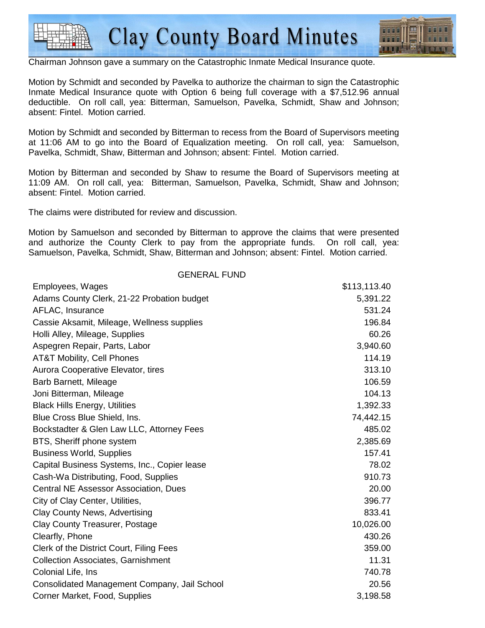

Chairman Johnson gave a summary on the Catastrophic Inmate Medical Insurance quote.

Motion by Schmidt and seconded by Pavelka to authorize the chairman to sign the Catastrophic Inmate Medical Insurance quote with Option 6 being full coverage with a \$7,512.96 annual deductible. On roll call, yea: Bitterman, Samuelson, Pavelka, Schmidt, Shaw and Johnson; absent: Fintel. Motion carried.

Motion by Schmidt and seconded by Bitterman to recess from the Board of Supervisors meeting at 11:06 AM to go into the Board of Equalization meeting. On roll call, yea: Samuelson, Pavelka, Schmidt, Shaw, Bitterman and Johnson; absent: Fintel. Motion carried.

Motion by Bitterman and seconded by Shaw to resume the Board of Supervisors meeting at 11:09 AM. On roll call, yea: Bitterman, Samuelson, Pavelka, Schmidt, Shaw and Johnson; absent: Fintel. Motion carried.

The claims were distributed for review and discussion.

Motion by Samuelson and seconded by Bitterman to approve the claims that were presented and authorize the County Clerk to pay from the appropriate funds. On roll call, yea: Samuelson, Pavelka, Schmidt, Shaw, Bitterman and Johnson; absent: Fintel. Motion carried.

| <b>GENERAL FUND</b>                          |              |
|----------------------------------------------|--------------|
| Employees, Wages                             | \$113,113.40 |
| Adams County Clerk, 21-22 Probation budget   | 5,391.22     |
| AFLAC, Insurance                             | 531.24       |
| Cassie Aksamit, Mileage, Wellness supplies   | 196.84       |
| Holli Alley, Mileage, Supplies               | 60.26        |
| Aspegren Repair, Parts, Labor                | 3,940.60     |
| <b>AT&amp;T Mobility, Cell Phones</b>        | 114.19       |
| Aurora Cooperative Elevator, tires           | 313.10       |
| Barb Barnett, Mileage                        | 106.59       |
| Joni Bitterman, Mileage                      | 104.13       |
| <b>Black Hills Energy, Utilities</b>         | 1,392.33     |
| Blue Cross Blue Shield, Ins.                 | 74,442.15    |
| Bockstadter & Glen Law LLC, Attorney Fees    | 485.02       |
| BTS, Sheriff phone system                    | 2,385.69     |
| <b>Business World, Supplies</b>              | 157.41       |
| Capital Business Systems, Inc., Copier lease | 78.02        |
| Cash-Wa Distributing, Food, Supplies         | 910.73       |
| <b>Central NE Assessor Association, Dues</b> | 20.00        |
| City of Clay Center, Utilities,              | 396.77       |
| Clay County News, Advertising                | 833.41       |
| Clay County Treasurer, Postage               | 10,026.00    |
| Clearfly, Phone                              | 430.26       |
| Clerk of the District Court, Filing Fees     | 359.00       |
| <b>Collection Associates, Garnishment</b>    | 11.31        |
| Colonial Life, Ins                           | 740.78       |
| Consolidated Management Company, Jail School | 20.56        |
| Corner Market, Food, Supplies                | 3,198.58     |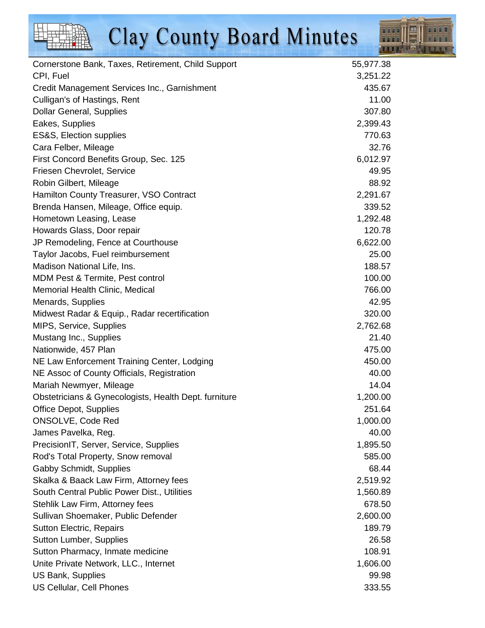

| Cornerstone Bank, Taxes, Retirement, Child Support    | 55,977.38 |
|-------------------------------------------------------|-----------|
| CPI, Fuel                                             | 3,251.22  |
| Credit Management Services Inc., Garnishment          | 435.67    |
| Culligan's of Hastings, Rent                          | 11.00     |
| <b>Dollar General, Supplies</b>                       | 307.80    |
| Eakes, Supplies                                       | 2,399.43  |
| ES&S, Election supplies                               | 770.63    |
| Cara Felber, Mileage                                  | 32.76     |
| First Concord Benefits Group, Sec. 125                | 6,012.97  |
| Friesen Chevrolet, Service                            | 49.95     |
| Robin Gilbert, Mileage                                | 88.92     |
| Hamilton County Treasurer, VSO Contract               | 2,291.67  |
| Brenda Hansen, Mileage, Office equip.                 | 339.52    |
| Hometown Leasing, Lease                               | 1,292.48  |
| Howards Glass, Door repair                            | 120.78    |
| JP Remodeling, Fence at Courthouse                    | 6,622.00  |
| Taylor Jacobs, Fuel reimbursement                     | 25.00     |
| Madison National Life, Ins.                           | 188.57    |
| MDM Pest & Termite, Pest control                      | 100.00    |
| Memorial Health Clinic, Medical                       | 766.00    |
| Menards, Supplies                                     | 42.95     |
| Midwest Radar & Equip., Radar recertification         | 320.00    |
| MIPS, Service, Supplies                               | 2,762.68  |
| Mustang Inc., Supplies                                | 21.40     |
| Nationwide, 457 Plan                                  | 475.00    |
| NE Law Enforcement Training Center, Lodging           | 450.00    |
| NE Assoc of County Officials, Registration            | 40.00     |
| Mariah Newmyer, Mileage                               | 14.04     |
| Obstetricians & Gynecologists, Health Dept. furniture | 1,200.00  |
| <b>Office Depot, Supplies</b>                         | 251.64    |
| ONSOLVE, Code Red                                     | 1,000.00  |
| James Pavelka, Reg.                                   | 40.00     |
| PrecisionIT, Server, Service, Supplies                | 1,895.50  |
| Rod's Total Property, Snow removal                    | 585.00    |
| <b>Gabby Schmidt, Supplies</b>                        | 68.44     |
| Skalka & Baack Law Firm, Attorney fees                | 2,519.92  |
| South Central Public Power Dist., Utilities           | 1,560.89  |
| Stehlik Law Firm, Attorney fees                       | 678.50    |
| Sullivan Shoemaker, Public Defender                   | 2,600.00  |
| <b>Sutton Electric, Repairs</b>                       | 189.79    |
| <b>Sutton Lumber, Supplies</b>                        | 26.58     |
| Sutton Pharmacy, Inmate medicine                      | 108.91    |
| Unite Private Network, LLC., Internet                 | 1,606.00  |
| US Bank, Supplies                                     | 99.98     |
| <b>US Cellular, Cell Phones</b>                       | 333.55    |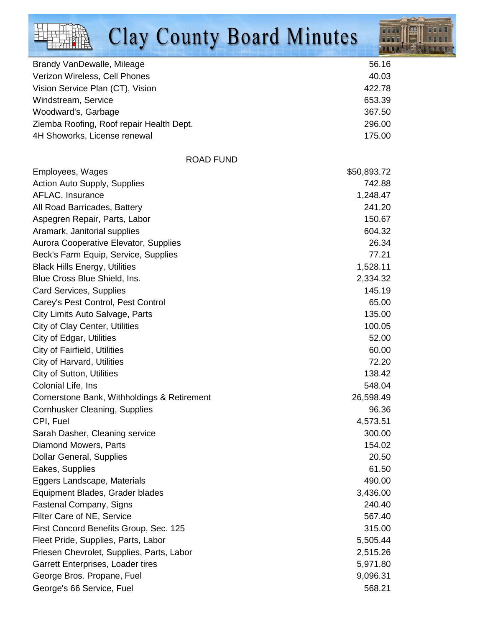

| Brandy VanDewalle, Mileage                  | 56.16       |
|---------------------------------------------|-------------|
| Verizon Wireless, Cell Phones               | 40.03       |
| Vision Service Plan (CT), Vision            | 422.78      |
| Windstream, Service                         | 653.39      |
| Woodward's, Garbage                         | 367.50      |
| Ziemba Roofing, Roof repair Health Dept.    | 296.00      |
| 4H Showorks, License renewal                | 175.00      |
| <b>ROAD FUND</b>                            |             |
| Employees, Wages                            | \$50,893.72 |
| <b>Action Auto Supply, Supplies</b>         | 742.88      |
| AFLAC, Insurance                            | 1,248.47    |
| All Road Barricades, Battery                | 241.20      |
| Aspegren Repair, Parts, Labor               | 150.67      |
| Aramark, Janitorial supplies                | 604.32      |
| Aurora Cooperative Elevator, Supplies       | 26.34       |
| Beck's Farm Equip, Service, Supplies        | 77.21       |
| <b>Black Hills Energy, Utilities</b>        | 1,528.11    |
| Blue Cross Blue Shield, Ins.                | 2,334.32    |
| <b>Card Services, Supplies</b>              | 145.19      |
| Carey's Pest Control, Pest Control          | 65.00       |
| City Limits Auto Salvage, Parts             | 135.00      |
| <b>City of Clay Center, Utilities</b>       | 100.05      |
| City of Edgar, Utilities                    | 52.00       |
| City of Fairfield, Utilities                | 60.00       |
| City of Harvard, Utilities                  | 72.20       |
| <b>City of Sutton, Utilities</b>            | 138.42      |
| Colonial Life, Ins                          | 548.04      |
| Cornerstone Bank, Withholdings & Retirement | 26,598.49   |
| Cornhusker Cleaning, Supplies               | 96.36       |
| CPI, Fuel                                   | 4,573.51    |
| Sarah Dasher, Cleaning service              | 300.00      |
| Diamond Mowers, Parts                       | 154.02      |
| <b>Dollar General, Supplies</b>             | 20.50       |
| Eakes, Supplies                             | 61.50       |
| Eggers Landscape, Materials                 | 490.00      |
| Equipment Blades, Grader blades             | 3,436.00    |
| <b>Fastenal Company, Signs</b>              | 240.40      |
| Filter Care of NE, Service                  | 567.40      |
| First Concord Benefits Group, Sec. 125      | 315.00      |
| Fleet Pride, Supplies, Parts, Labor         | 5,505.44    |
| Friesen Chevrolet, Supplies, Parts, Labor   | 2,515.26    |
| Garrett Enterprises, Loader tires           | 5,971.80    |
| George Bros. Propane, Fuel                  | 9,096.31    |
| George's 66 Service, Fuel                   | 568.21      |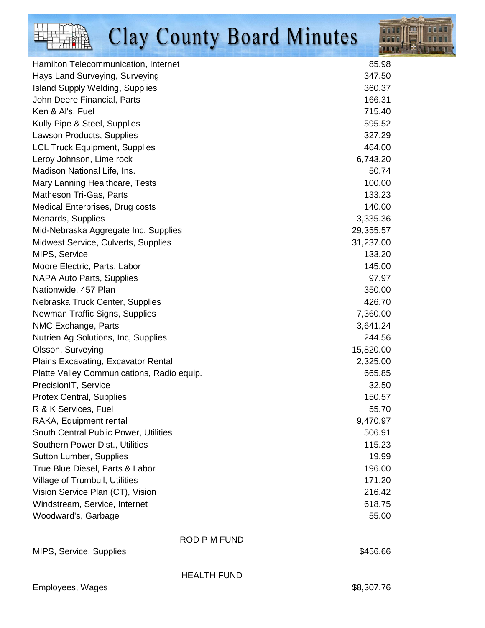

| Hamilton Telecommunication, Internet       | 85.98      |
|--------------------------------------------|------------|
| Hays Land Surveying, Surveying             | 347.50     |
| <b>Island Supply Welding, Supplies</b>     | 360.37     |
| John Deere Financial, Parts                | 166.31     |
| Ken & Al's, Fuel                           | 715.40     |
| Kully Pipe & Steel, Supplies               | 595.52     |
| Lawson Products, Supplies                  | 327.29     |
| <b>LCL Truck Equipment, Supplies</b>       | 464.00     |
| Leroy Johnson, Lime rock                   | 6,743.20   |
| Madison National Life, Ins.                | 50.74      |
| Mary Lanning Healthcare, Tests             | 100.00     |
| Matheson Tri-Gas, Parts                    | 133.23     |
| Medical Enterprises, Drug costs            | 140.00     |
| Menards, Supplies                          | 3,335.36   |
| Mid-Nebraska Aggregate Inc, Supplies       | 29,355.57  |
| Midwest Service, Culverts, Supplies        | 31,237.00  |
| MIPS, Service                              | 133.20     |
| Moore Electric, Parts, Labor               | 145.00     |
| <b>NAPA Auto Parts, Supplies</b>           | 97.97      |
| Nationwide, 457 Plan                       | 350.00     |
| Nebraska Truck Center, Supplies            | 426.70     |
| Newman Traffic Signs, Supplies             | 7,360.00   |
| NMC Exchange, Parts                        | 3,641.24   |
| Nutrien Ag Solutions, Inc, Supplies        | 244.56     |
| Olsson, Surveying                          | 15,820.00  |
| Plains Excavating, Excavator Rental        | 2,325.00   |
| Platte Valley Communications, Radio equip. | 665.85     |
| PrecisionIT, Service                       | 32.50      |
| <b>Protex Central, Supplies</b>            | 150.57     |
| R & K Services, Fuel                       | 55.70      |
| RAKA, Equipment rental                     | 9,470.97   |
| South Central Public Power, Utilities      | 506.91     |
| Southern Power Dist., Utilities            | 115.23     |
| <b>Sutton Lumber, Supplies</b>             | 19.99      |
| True Blue Diesel, Parts & Labor            | 196.00     |
| Village of Trumbull, Utilities             | 171.20     |
| Vision Service Plan (CT), Vision           | 216.42     |
| Windstream, Service, Internet              | 618.75     |
| Woodward's, Garbage                        | 55.00      |
| <b>ROD P M FUND</b>                        |            |
| MIPS, Service, Supplies                    | \$456.66   |
| <b>HEALTH FUND</b>                         |            |
| Employees, Wages                           | \$8,307.76 |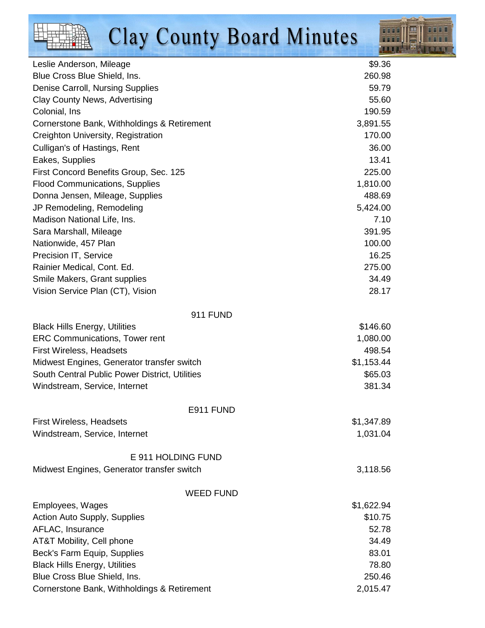$\frac{1}{2}$ 



| Leslie Anderson, Mileage                       | \$9.36     |
|------------------------------------------------|------------|
| Blue Cross Blue Shield, Ins.                   | 260.98     |
| Denise Carroll, Nursing Supplies               | 59.79      |
| <b>Clay County News, Advertising</b>           | 55.60      |
| Colonial, Ins                                  | 190.59     |
| Cornerstone Bank, Withholdings & Retirement    | 3,891.55   |
| Creighton University, Registration             | 170.00     |
| Culligan's of Hastings, Rent                   | 36.00      |
| Eakes, Supplies                                | 13.41      |
| First Concord Benefits Group, Sec. 125         | 225.00     |
| <b>Flood Communications, Supplies</b>          | 1,810.00   |
| Donna Jensen, Mileage, Supplies                | 488.69     |
| JP Remodeling, Remodeling                      | 5,424.00   |
| Madison National Life, Ins.                    | 7.10       |
| Sara Marshall, Mileage                         | 391.95     |
| Nationwide, 457 Plan                           | 100.00     |
| Precision IT, Service                          | 16.25      |
| Rainier Medical, Cont. Ed.                     | 275.00     |
| Smile Makers, Grant supplies                   | 34.49      |
| Vision Service Plan (CT), Vision               | 28.17      |
| <b>911 FUND</b>                                |            |
| <b>Black Hills Energy, Utilities</b>           | \$146.60   |
| <b>ERC Communications, Tower rent</b>          | 1,080.00   |
| <b>First Wireless, Headsets</b>                | 498.54     |
| Midwest Engines, Generator transfer switch     | \$1,153.44 |
| South Central Public Power District, Utilities | \$65.03    |
| Windstream, Service, Internet                  | 381.34     |
| E911 FUND                                      |            |
| <b>First Wireless, Headsets</b>                | \$1,347.89 |
| Windstream, Service, Internet                  | 1,031.04   |
| E 911 HOLDING FUND                             |            |
| Midwest Engines, Generator transfer switch     | 3,118.56   |
| <b>WEED FUND</b>                               |            |
| Employees, Wages                               | \$1,622.94 |
| Action Auto Supply, Supplies                   | \$10.75    |
| AFLAC, Insurance                               | 52.78      |
| AT&T Mobility, Cell phone                      | 34.49      |
| Beck's Farm Equip, Supplies                    | 83.01      |
| <b>Black Hills Energy, Utilities</b>           | 78.80      |
| Blue Cross Blue Shield, Ins.                   | 250.46     |
| Cornerstone Bank, Withholdings & Retirement    | 2,015.47   |
|                                                |            |